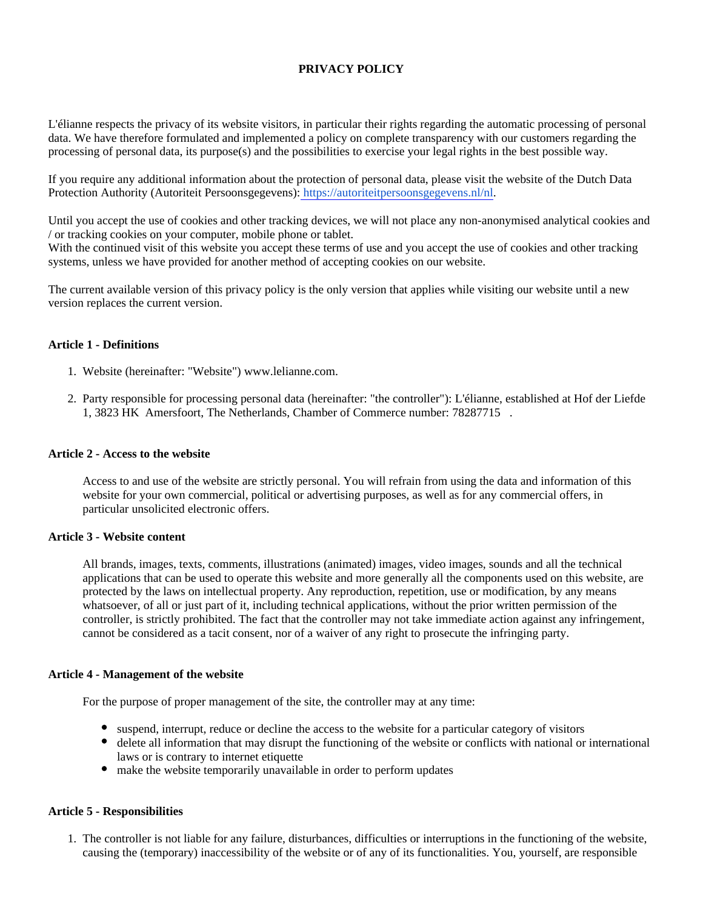# **PRIVACY POLICY**

L'élianne respects the privacy of its website visitors, in particular their rights regarding the automatic processing of personal data. We have therefore formulated and implemented a policy on complete transparency with our customers regarding the processing of personal data, its purpose(s) and the possibilities to exercise your legal rights in the best possible way.

If you require any additional information about the protection of personal data, please visit the website of the Dutch Data Protection Authority (Autoriteit Persoonsgegevens): [https://autoriteitpersoonsgegevens.nl/nl.](https://autoriteitpersoonsgegevens.nl/nl)

Until you accept the use of cookies and other tracking devices, we will not place any non-anonymised analytical cookies and / or tracking cookies on your computer, mobile phone or tablet.

With the continued visit of this website you accept these terms of use and you accept the use of cookies and other tracking systems, unless we have provided for another method of accepting cookies on our website.

The current available version of this privacy policy is the only version that applies while visiting our website until a new version replaces the current version.

### **Article 1 - Definitions**

- 1. Website (hereinafter: "Website") www.lelianne.com.
- 2. Party responsible for processing personal data (hereinafter: "the controller"): L'élianne, established at Hof der Liefde 1, 3823 HK Amersfoort, The Netherlands, Chamber of Commerce number: 78287715 .

#### **Article 2 - Access to the website**

Access to and use of the website are strictly personal. You will refrain from using the data and information of this website for your own commercial, political or advertising purposes, as well as for any commercial offers, in particular unsolicited electronic offers.

#### **Article 3 - Website content**

All brands, images, texts, comments, illustrations (animated) images, video images, sounds and all the technical applications that can be used to operate this website and more generally all the components used on this website, are protected by the laws on intellectual property. Any reproduction, repetition, use or modification, by any means whatsoever, of all or just part of it, including technical applications, without the prior written permission of the controller, is strictly prohibited. The fact that the controller may not take immediate action against any infringement, cannot be considered as a tacit consent, nor of a waiver of any right to prosecute the infringing party.

#### **Article 4 - Management of the website**

For the purpose of proper management of the site, the controller may at any time:

- suspend, interrupt, reduce or decline the access to the website for a particular category of visitors
- delete all information that may disrupt the functioning of the website or conflicts with national or international laws or is contrary to internet etiquette
- make the website temporarily unavailable in order to perform updates

#### **Article 5 - Responsibilities**

1. The controller is not liable for any failure, disturbances, difficulties or interruptions in the functioning of the website, causing the (temporary) inaccessibility of the website or of any of its functionalities. You, yourself, are responsible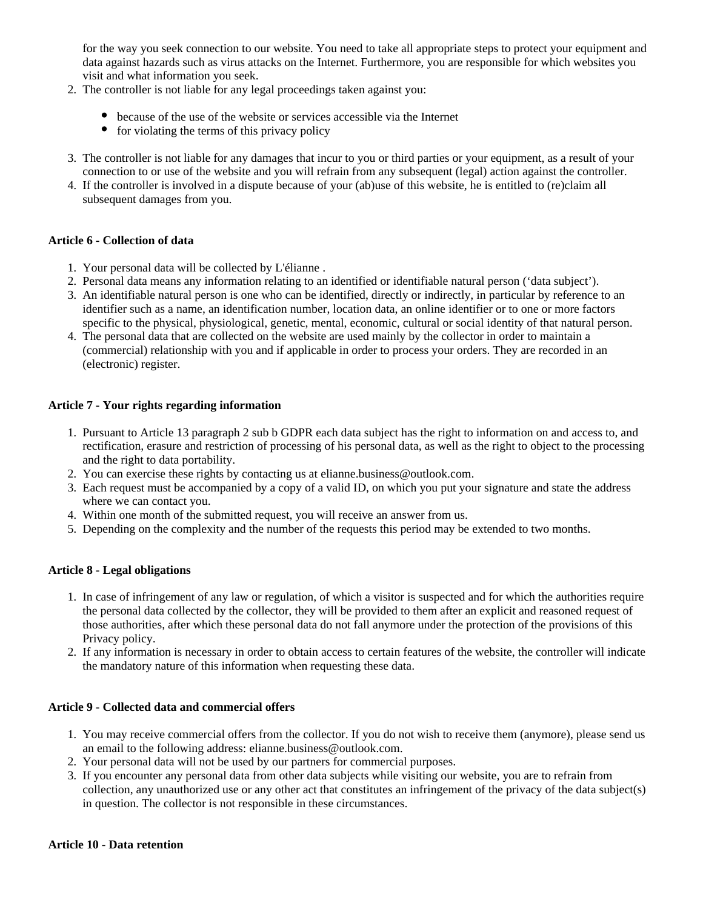for the way you seek connection to our website. You need to take all appropriate steps to protect your equipment and data against hazards such as virus attacks on the Internet. Furthermore, you are responsible for which websites you visit and what information you seek.

- 2. The controller is not liable for any legal proceedings taken against you:
	- because of the use of the website or services accessible via the Internet
	- $\bullet$  for violating the terms of this privacy policy
- 3. The controller is not liable for any damages that incur to you or third parties or your equipment, as a result of your connection to or use of the website and you will refrain from any subsequent (legal) action against the controller.
- 4. If the controller is involved in a dispute because of your (ab)use of this website, he is entitled to (re)claim all subsequent damages from you.

# **Article 6 - Collection of data**

- 1. Your personal data will be collected by L'élianne .
- 2. Personal data means any information relating to an identified or identifiable natural person ('data subject').
- 3. An identifiable natural person is one who can be identified, directly or indirectly, in particular by reference to an identifier such as a name, an identification number, location data, an online identifier or to one or more factors specific to the physical, physiological, genetic, mental, economic, cultural or social identity of that natural person.
- 4. The personal data that are collected on the website are used mainly by the collector in order to maintain a (commercial) relationship with you and if applicable in order to process your orders. They are recorded in an (electronic) register.

### **Article 7 - Your rights regarding information**

- 1. Pursuant to Article 13 paragraph 2 sub b GDPR each data subject has the right to information on and access to, and rectification, erasure and restriction of processing of his personal data, as well as the right to object to the processing and the right to data portability.
- 2. You can exercise these rights by contacting us at elianne.business@outlook.com.
- 3. Each request must be accompanied by a copy of a valid ID, on which you put your signature and state the address where we can contact you.
- 4. Within one month of the submitted request, you will receive an answer from us.
- 5. Depending on the complexity and the number of the requests this period may be extended to two months.

# **Article 8 - Legal obligations**

- 1. In case of infringement of any law or regulation, of which a visitor is suspected and for which the authorities require the personal data collected by the collector, they will be provided to them after an explicit and reasoned request of those authorities, after which these personal data do not fall anymore under the protection of the provisions of this Privacy policy.
- 2. If any information is necessary in order to obtain access to certain features of the website, the controller will indicate the mandatory nature of this information when requesting these data.

## **Article 9 - Collected data and commercial offers**

- 1. You may receive commercial offers from the collector. If you do not wish to receive them (anymore), please send us an email to the following address: elianne.business@outlook.com.
- 2. Your personal data will not be used by our partners for commercial purposes.
- 3. If you encounter any personal data from other data subjects while visiting our website, you are to refrain from collection, any unauthorized use or any other act that constitutes an infringement of the privacy of the data subject(s) in question. The collector is not responsible in these circumstances.